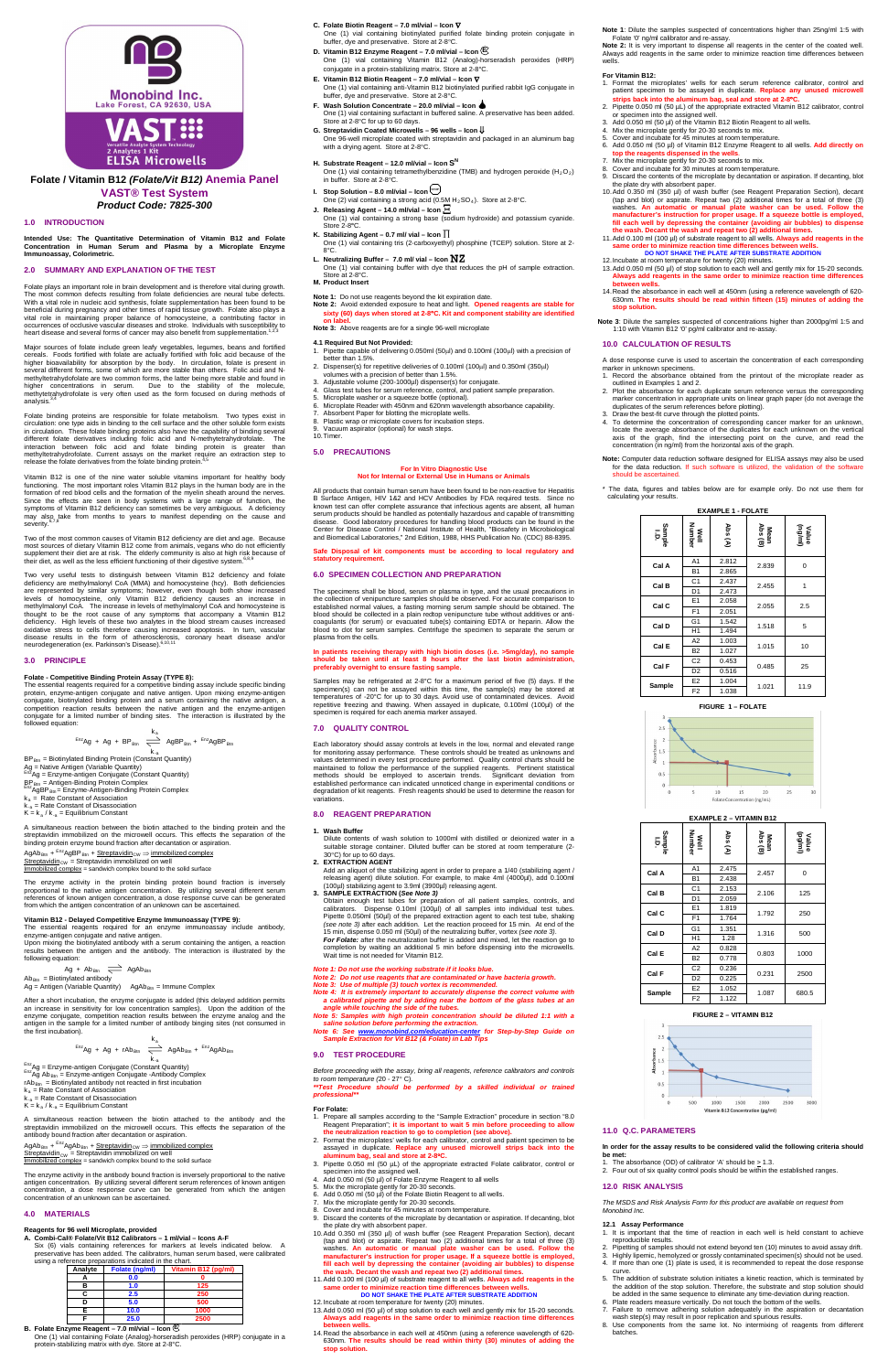

# **Folate / Vitamin B12** *(Folate/Vit B12)* **Anemia Panel VAST® Test System** *Product Code: 7825-300*

# **1.0 INTRODUCTION**

Folate plays an important role in brain development and is therefore vital during growth. The most common defects resulting from folate deficiencies are neural tube defects. With a vital role in nucleic acid synthesis, folate supplementation has been found to be beneficial during pregnancy and other times of rapid tissue growth. Folate also plays a vital role in maintaining proper balance of homocysteine, a contributing factor in<br>occurrences of occlusive vascular diseases and stroke. Individuals with susceptibility to<br>heart disease and several forms of cancer may als

**Intended Use: The Quantitative Determination of Vitamin B12 and Folate Concentration in Human Serum and Plasma by a Microplate Enzyme Immunoassay, Colorimetric.** 

# **2.0 SUMMARY AND EXPLANATION OF THE TEST**

Major sources of folate include green leafy vegetables, legumes, beans and fortified cereals. Foods fortified with folate are actually fortified with folic acid because of the higher bioavailability for absorption by the body. In circulation, folate is present in several different forms, some of which are more stable than others. Folic acid and Nmethyltetrahydofolate are two common forms, the latter being more stable and found in<br>higher concentrations in serum. Due to the stability of the molecule,<br>methytetrahydrofolate is very often used as the form focused on du

Folate binding proteins are responsible for folate metabolism. Two types exist in circulation: one type aids in binding to the cell surface and the other soluble form exists in in circulation. These folate binding proteins

Vitamin B12 is one of the nine water soluble vitamins important for healthy body functioning. The most important roles Vitamin B12 plays in the human body are in the formation of red blood cells and the formation of the myelin sheath around the nerves.<br>Since the effects are seen in body systems with a large range of function, the<br>symptoms of Vitamin B12 deficiency can sometimes be very may also take from months to years to manifest depending on the cause and<br>severity.<sup>6,7,8</sup>

Two of the most common causes of Vitamin B12 deficiency are diet and age. Because most sources of dietary Vitamin B12 come from animals, vegans who do not efficiently<br>supplement their diet are at risk. The elderly community is also at high risk because of<br>their diet, as well as the less efficient funct

Two very useful tests to distinguish between Vitamin B12 deficiency and folate deficiency are methylmalonyl CoA (MMA) and homocysteine (hcy). Both deficiencies<br>are represented by similar symptoms; however, even though both show increased<br>levels of homocysteine, only Vitamin B12 deficiency causes an i thought to be the root cause of any symptoms that accompany a Vitamin B12 deficiency. High levels of these two analytes in the blood stream causes increased oxidative stress to cells therefore causing increased apoptosis. In turn, vascular<br>disease results in the form of atherosclerosis, coronary heart disease and/or<br>neurodegeneration(ex. Parkinson's Disease).<sup>8,10,11</sup>

The essential reagents required for a competitive binding assay include specific binding<br>protein, enzyme-antigen conjugate and native antigen. Upon mixing enzyme-antigen<br>conjugate, biotinylated binding protein and a serum followed equation:

AgAb<sub>Btn</sub> + <sup>Enz</sup>AgAb<sub>Btn</sub> + <u>Streptavidin<sub>CW</sub> ⇒ immobilized complex</u><br><u>Streptavidin<sub>CW</sub> = Streptavidin immobilized on well</u> Immobilized complex = sandwich complex bound to the solid surface

### **3.0 PRINCIPLE**

### **Folate - Competitive Binding Protein Assay (TYPE 8):**

$$
^{Enz}Ag + Ag + BP_{Btn} \xrightarrow{\begin{array}{c} k_a \\ \searrow \end{array}} AgBP_{Btn} + {}^{Enz}AgBP_{Btn}
$$

K.<sub>a</sub><br>BP<sub>Bin</sub> = Biotinylated Binding Protein (Constant Quantity)<br>Ag = Native Antigen (Variable Quantity)<br><sup>Enz</sup>Ag = Enzyme-antigen Conjugate (Constant Quantity)

 $BP<sub>Bin</sub> = Antigen-Binding Protein Complex   
  $EqBPR<sub>Bin</sub> = Enzyme-Antigen-Binding Protein Complex   
  $EqBPR<sub>Bin</sub> = Enzyme-Antigen-Binding Protein Complex$$$ 

 $k_a$  = Rate Constant of Association

 $k =$ Rate Constant of Disassociation

 $K = k_a / k_a =$  Equilibrium Constant

# **Note 1:** Do not use reagents beyond the kit expiration date. **Note 2:** Avoid extended exposure to heat and light. **Opened reagents are stable for sixty (60) days when stored at 2-8**°**C. Kit and component stability are identified on** la

A simultaneous reaction between the biotin attached to the binding protein and the streptavidin immobilized on the microwell occurs. This effects the separation of the binding protein enzyme bound fraction after decantation or aspiration.

AgAb<sub>Btn</sub> + <sup>Enz</sup>AgBP<sub>Btn</sub> + <u>Streptavidin<sub>CW</sub> ⇒ immobilized complex</u><br><u>Streptavidin<sub>CW</sub> = Streptavidin immobilized on well</u>

Immobilized complex = sandwich complex bound to the solid surface

The enzyme activity in the protein binding protein bound fraction is inversely<br>proportional to the native antigen concentration. By utilizing several different serum<br>references of known antigen concentration, a dose respon

# **For In Vitro Diagnostic Use Not for Internal or External Use in Humans or Animals**

from which the antigen concentration of an unknown can be ascertained.

**Vitamin B12 - Delayed Competitive Enzyme Immunoassay (TYPE 9):**<br>The essential reagents required for an enzyme immunoassay include antibody,<br>enzyme-antigen conjugate and native antigen.

Upon mixing the biotinylated antibody with a serum containing the antigen, a reaction results between the antigen and the antibody. The interaction is illustrated by the following equation:

- $Ag + Ab_{Btn} \implies AgAb_{Btn}$  $Ab_{Btn} = Biotinylated$  antibody
- $Ag = Antigen (Variable Quantity)$   $AgAb_{Btn} = Immune Complex$

After a short incubation, the enzyme conjugate is added (this delayed addition permits

an increase in sensitivity for low concentration samples). Upon the addition of the enzyme conjugate, competition reaction results between the enzyme analog and the antigen in the sample for a limited number of antibody binging sites (not consumed in the first incubation).

$$
rac{k_a}{k_{\text{max}}} = \sum_{k=1}^{10} \text{Ag} + \text{Ag} + \text{rAb}_{\text{Btn}} \sum_{k=1}^{k_a} \text{AgAb}_{\text{Btn}} + \frac{\text{Enc}_{\text{Ag}}}{k_{\text{max}}} \text{AgAb}_{\text{Btn}}
$$
\n
$$
rac{\text{Enc}_{\text{Ag}}}{k_{\text{max}}} = \text{Enc}_{\text{M}} \text{Enc}_{\text{M}} \text{Corrating} + \text{Constr} \text{Quantity}
$$
\n
$$
c_{\text{B}} = \text{Bic}_{\text{M}} \text{Covitation} + \text{Gr}_{\text{M}} \text{Corrating} + \text{Constr} \text{Corrating} + \text{Aribody} \text{Complex}
$$

- k<sub>a</sub> = Rate Constant of Association<br>k<sub>-a</sub> = Rate Constant of Disassociation
- $K = k_a / k_{-a} =$  Equilibrium Constant

Each laboratory should assay controls at levels in the low, normal and elevated range<br>for monitoring assay performance. These controls should be treated as unknowns and<br>values determined in every test procedure performed. maintained to follow the performance of the supplied reagents. Pertinent statistical methods should be employed to ascertain trends. Significant deviation from established performance can indicated unnoticed change in experimental conditions or degradation of kit reagents. Fresh reagents should be used to determine the reason for variations.

Dilute contents of wash solution to 1000ml with distilled or deionized water in a suitable storage container. Diluted buffer can be stored at room temperature (2- 30°C) for up to 60 days.<br>**2. EXTRACTION AGENT** 

A simultaneous reaction between the biotin attached to the antibody and the streptavidin immobilized on the microwell occurs. This effects the separation of the antibody bound fraction after decantation or aspiration.

The enzyme activity in the antibody bound fraction is inversely proportional to the native antigen concentration. By utilizing several different serum references of known antigen concentration, a dose response curve can be generated from which the antigen concentration of an unknown can be ascertained.

# **4.0 MATERIALS**

- 
- 
- 2. **EXTRACTION AGENT**<br>Add an aliquot of the stabilizing agent in order to prepare a 1/40 (stabilizing agent /<br>releasing agent) dilute solution. For example, to make 4ml (4000µl), add 0.100ml<br>(100µl) stabilizing agent to 3 15 min, dispense 0.050 ml (50µl) of the neutralizing buffer, vortex *(see note 3)*. *For Folate:* after the neutralization buffer is added and mixed, let the reaction go to completion by waiting an additional 5 min before dispensing into the microwells. Wait time is not needed for Vitamin B12.
- *Note 1: Do not use the working substrate if it looks blue.*
- 
- Note 2: Do not use reagents that are contaminated or have bacteria growth.<br>Note 3: Use of multiple (3) touch vortex is recommended.<br>Note 4: It is extremely important to accurately dispense the correct volume with
- *a calibrated pipette and by adding near the bottom of the glass tubes at an angle while touching the side of the tubes.*

# **Reagents for 96 well Microplate, provided A. Combi-Cal® Folate/Vit B12 Calibrators – 1 ml/vial – Icons A-F**

Six (6) vials containing references for markers at levels indicated below. A preservative has been added. The calibrators, human serum based, were calibrated using a reference preparations indicated in the chart.

| Analyte | Folate (ng/ml) | Vitamin B12 (pg/ml) |
|---------|----------------|---------------------|
|         | 0.0            |                     |
| п       | 1.0            | 125                 |
|         | 2.5            | 250                 |
|         | 5.0            | 500                 |
|         | 10.0           | 1000                |
|         | 25.0           | 2500                |

# **B. Folate Enzyme Reagent – 7.0 ml/vial – Icon**

One (1) vial containing Folate (Analog)-horseradish peroxides (HRP) conjugate in a protein-stabilizing matrix with dye. Store at 2-8°C.

- **C. Folate Biotin Reagent – 7.0 ml/vial – Icon** ∇ One (1) vial containing biotinylated purified folate binding protein conjugate in buffer, dye and preservative. Store at 2-8°C.
- **D. Vitamin B12 Enzyme Reagent – 7.0 ml/vial – Icon** One (1) vial containing Vitamin B12 (Analog)-horseradish peroxides (HRP) conjugate in a protein-stabilizing matrix. Store at 2-8°C. **E**
- **E. Vitamin B12 Biotin Reagent – 7.0 ml/vial – Icon** ∇ One (1) vial containing anti-Vitamin B12 biotinylated purified rabbit IgG conjugate in buffer, dye and preservative. Store at 2-8°C.
- **F. Wash Solution Concentrate – 20.0 ml/vial – Icon** One (1) vial containing surfactant in buffered saline. A preservative has been added. Store at 2-8°C for up to 60 days.
- **G. Streptavidin Coated Microwells – 96 wells – Icon** ⇓ One 96-well microplate coated with streptavidin and packaged in an aluminum bag with a drying agent. Store at 2-8°C.
- **H. Substrate Reagent 12.0 ml/vial Icon S<sup>N</sup><br>One (1) vial containing tetramethylbenzidine (TMB) and hydrogen peroxide (H<sub>2</sub>O<sub>2</sub>)** in buffer. Store at 2-8°C.
- **I. Stop Solution – 8.0 ml/vial – Icon STOP**One (2) vial containing a strong acid (0.5M  $H_2$ SO<sub>4</sub>). Store at 2-8°C.
- **J. Releasing Agent – 14.0 ml/vial – Icon** One (1) vial containing a strong base (sodium hydroxide) and potassium cyanide. Store 2-8**°**C.
- **K. Stabilizing Agent – 0.7 ml/ vial – Icon**
- One (1) vial containing tris (2-carboxyethyl) phosphine (TCEP) solution. Store at 2- 8°C.
- **L. Neutralizing Buffer – 7.0 ml/ vial – Icon** One (1) vial containing buffer with dye that reduces the pH of sample extraction.  $S$ tore at  $2.8$ °C.
- **M. Product Insert**
- 1. Format the microplates' wells for each serum reference calibrator, control and<br>patient specimen to be assayed in duplicate. **Replace any unused microwell**<br>strips back into the aluminum bag, seal and store at 2-8°C.<br>2.
- 
- 
- - 4. Mix the microplate gently for 20-30 seconds to mix.<br>5. Cover and incubate for 45 minutes at room temperature.<br>6. Add 0.050 ml (50 µl) of Vitamin B12 Enzyme Reagent to all wells. **Add directly on**
- **top the reagents dispensed in the wells**. 7. Mix the microplate gently for 20-30 seconds to mix.
- 8. Cover and incubate for 30 minutes at room temperature.
- 9. Discard the contents of the microplate by decantation or aspiration. If decanting, blot
- the plate dry with absorbent paper.<br>10.Add 0.350 ml (350 µl) of wash buffer (see Reagent Preparation Section), decant<br>(tap and blot) or aspirate. Repeat two (2) additional times for a total of three (3) washes. An automatic or manual plate washer can be used. Follow the<br>manufacturer's instruction for proper usage. If a squeeze bottle is employed,<br>fill each well by depressing the container (avoiding air bubbles) to dispens **the wash. Decant the wash and repeat two (2) additional times.**
- 11.Add 0.100 ml (100 µl) of substrate reagent to all wells. **Always add reagents in the same order to minimize reaction time differences between wells. DO NOT SHAKE THE PLATE AFTER SUBSTRATE ADDITION**
- 
- 12.Incubate at room temperature for twenty (20) minutes. 13.Add 0.050 ml (50 µl) of stop solution to each well and gently mix for 15-20 seconds. **Always add reagents in the same order to minimize reaction time differences**
- **between wells.**  14.Read the absorbance in each well at 450nm (using a reference wavelength of 620- 630nm. **The results should be read within fifteen (15) minutes of adding the stop solution.**

**Note 3:** Above reagents are for a single 96-well microplate

- **4.1 Required But Not Provided:** 1. Pipette capable of delivering 0.050ml (50µl) and 0.100ml (100µl) with a precision of better than 1.5%.
- 2. Dispenser(s) for repetitive deliveries of 0.100ml (100µl) and 0.350ml (350µl)
- volumes with a precision of better than 1.5%. 3. Adjustable volume (200-1000µl) dispenser(s) for conjugate. 4. Glass test tubes for serum reference, control, and patient sample preparation.
- 
- 5. Microplate washer or a squeeze bottle (optional).<br>6. Microplate Reader with 450nm and 620nm wavel Microplate Reader with 450nm and 620nm wavelength absorbance capability.
- Absorbent Paper for blotting the microplate wells.
- 8. Plastic wrap or microplate covers for incubation steps.
- 9. Vacuum aspirator (optional) for wash steps. 10.Timer.
- **5.0 PRECAUTIONS**

**Well**<br>Number **Number**

**Cal A**  $\begin{array}{|c|c|c|c|} \hline \text{A1} & 2.812 & 2.839 & 0 \\ \hline \text{B1} & 2.865 & 2.839 & \end{array}$ **Cal B**  $\begin{array}{|c|c|c|c|c|} \hline \text{C1} & 2.437 & 2.455 & 1 \\ \hline \text{D1} & 2.473 & & 2.455 & \end{array}$ **Cal C**  $\begin{array}{|c|c|c|c|c|} \hline \text{E1} & 2.058 & 2.055 & 2.5 \ \hline \text{F1} & 2.051 & 2.055 & 2.5 \ \hline \end{array}$ **Cal D**  $\begin{array}{|c|c|c|c|c|} \hline \text{G1} & \text{1.542} & \text{1.518} & \text{5} \\ \hline \text{H1} & \text{1.494} & \text{1.518} & \text{5} \\ \hline \end{array}$ **Cal E**  $\begin{array}{|c|c|c|c|c|} \hline \text{A2} & 1.003 & 1.015 & 10 \\ \hline \text{B2} & 1.027 & & \end{array}$ **Cal F**  $\begin{array}{|c|c|c|c|c|} \hline \text{C2} & 0.453 & 0.485 & 25 \\ \hline \text{D2} & 0.516 & & 0.485 & \end{array}$ **Sample**  $\begin{array}{|c|c|c|c|c|} \hline \text{E2} & \text{1.004} & \text{1.021} & \text{11.9} \\ \hline \text{F2} & \text{1.038} & \text{1.021} & \text{11.9} \\ \hline \end{array}$ **FIGURE 1 – FOLATE** 

> Well<br>Number **Number**

 $\sqrt{5}$ 

All products that contain human serum have been found to be non-reactive for Hepatitis B Surface Antigen, HIV 1&2 and HCV Antibodies by FDA required tests. Since no<br>known test can offer complete assurance that infectious agents are absent, all human<br>serum products should be handled as potentially hazardous a and Biomedical Laboratories," 2nd Edition, 1988, HHS Publication No. (CDC) 88-8395.

### **Safe Disposal of kit components must be according to local regulatory and statutory requirement.**

# **6.0 SPECIMEN COLLECTION AND PREPARATION**

The specimens shall be blood, serum or plasma in type, and the usual precautions in the collection of venipuncture samples should be observed. For accurate comparison to established normal values, a fasting morning serum sample should be obtained. The<br>blood should be collected in a plain redtop venipuncture tube without additives or anti-<br>coagulants (for serum) or evacuated tube(s) contain blood to clot for serum samples. Centrifuge the specimen to separate the serum or plasma from the cells.

# **In patients receiving therapy with high biotin doses (i.e. >5mg/day), no sample should be taken until at least 8 hours after the last biotin administration, preferably overnight to ensure fasting sample.**

Samples may be refrigerated at 2-8°C for a maximum period of five (5) days. If the specimen(s) can not be assayed within this time, the sample(s) may be stored at temperatures of -20°C for up to 30 days. Avoid use of ocnta

# **7.0 QUALITY CONTROL**

## **8.0 REAGENT PREPARATION**

### **1. Wash Buffer**

- *Note 5: Samples with high protein concentration should be diluted 1:1 with a saline solution before performing the extraction.*
- *Note 6: See [www.monobind.com/education-center](http://www.monobind.com/education-center) for Step-by-Step Guide on Sample Extraction for Vit B12 (& Folate) in Lab Tips*

# **9.0 TEST PROCEDURE**

*Before proceeding with the assay, bring all reagents, reference calibrators and controls* 

*to room temperature (*20 - 27° C)*. \*\*Test Procedure should be performed by a skilled individual or trained professional\*\**

## **For Folate:**

- 1. Prepare all samples according to the "Sample Extraction" procedure in section "8.0 Reagent Preparation"; **it is important to wait 5 min before proceeding to allow**
- **the neutralization reaction to go to completion (see above).** 2. Format the microplates' wells for each calibrator, control and patient specimen to be assayed in duplicate. **Replace any unused microwell strips back into the**
- **aluminum bag, seal and store at 2-8**°**C.** 3. Pipette 0.050 ml (50 µL) of the appropriate extracted Folate calibrator, control or specimen into the assigned well.
- Add 0.050 ml (50 µl) of Folate Enzyme Reagent to all wells
- 
- 5. Mix the microplate gently for 20-30 seconds. 6. Add 0.050 ml (50 µl) of the Folate Biotin Reagent to all wells.
- 7. Mix the microplate gently for 20-30 seconds.
- Rink the micropium generator of the cover and incubate for 45 minutes at room temperature.
- 9. Discard the contents of the microplate by decantation or aspiration. If decanting, blot
- the plate dry with absorbent paper.<br>10.Add 0.350 ml (350 µl) of wash buffer (see Reagent Preparation Section), decant<br>tap and blot) or aspirate. Repeat two (2) additional times for a total of three (3) washes. **An automatic or manual plate washer can be used. Follow the**  manufacturer's instruction for proper usage. If a squeeze bottle is employed,<br>fill each well by depressing the container (avoiding air bubbles) to dispense<br>the wash. Decant the wash and repeat two (2) additional times.
- 11.Add 0.100 ml (100 µl) of substrate reagent to all wells. **Always add reagents in the same order to minimize reaction time differences between wells. DO NOT SHAKE THE PLATE AFTER SUBSTRATE ADDITION**
- 12.Incubate at room temperature for twenty (20) minutes.
- 13. Add 0.050 ml (50 µl) of stop solution to each well and gently mix for 15-20 seconds.<br>Always add reagents in the same order to minimize reaction time differences **Always add reagents in the same order to minimize reaction time differences**
- B: Between wells.<br>Adish peroxides (HRP) conjugate in a <sup>14</sup>.Read the absorbance in each well at 450nm (using a reference wavelength of 620-<br>C **Comments of adding the adding the intervents of adding the besort of adding th stop solution.**

**Note 1**: Dilute the samples suspected of concentrations higher than 25ng/ml 1:5 with

Folate '0' ng/ml calibrator and re-assay. **Note 2:** It is very important to dispense all reagents in the center of the coated well. Always add reagents in the same order to minimize reaction time differences between wells.

# **For Vitamin B12:**

**Note 3**: Dilute the samples suspected of concentrations higher than 2000pg/ml 1:5 and 1:10 with Vitamin B12 '0' pg/ml calibrator and re-assay.

## **10.0 CALCULATION OF RESULTS**

A dose response curve is used to ascertain the concentration of each corresponding marker in unknown specimens.

- 1. Record the absorbance obtained from the printout of the microplate reader as outlined in Examples 1 and 2. 2. Plot the absorbance for each duplicate serum reference versus the corresponding
- marker concentration in appropriate units on linear graph paper (do not average the duplicates of the serum references before plotting).
- 3. Draw the best-fit curve through the plotted points. 4. To determine the concentration of corresponding cancer marker for an unknown, locate the average absorbance of the duplicates for each unknown on the vertical axis of the graph, find the intersecting point on the curve,
- **Note:** Computer data reduction software designed for ELISA assays may also be used for the data reduction. If such software is utilized, the validation of the software

should be ascertained.

\* The data, figures and tables below are for example only. Do not use them for

calculating your results.

**EXAMPLE 1 - FOLATE**

**Sample I.D.**

**Abs (A)**

**Mean Abs (B)**

**Value (ng/ml)**

**EXAMPLE 2 – VITAMIN B12**

15

10

Folate Cor

**Sample I.D.**

 $2.5$  $\frac{5}{6}$  1.5  $rac{36}{4}$  $0.5$  $\mathbf{0}$ 

**Abs (A)**

**Cal A**  $\begin{array}{|c|c|c|c|c|} \hline \text{A1} & 2.475 & 2.457 & 0 \\ \hline \text{B1} & 2.438 & & \end{array}$ **Cal B**  $\begin{array}{|c|c|c|c|c|} \hline \text{C1} & 2.153 & 2.106 & 125 \\ \hline \text{D1} & 2.059 & & 2.106 & 125 \\ \hline \end{array}$ **Cal C**  $\begin{array}{|c|c|c|c|c|} \hline \text{E1} & 1.819 & 1.792 & 250 \\ \hline \text{F1} & 1.764 & \end{array}$ **Cal D**  $\begin{array}{|c|c|c|c|c|} \hline \text{G1} & \text{1.351} & \text{1.316} & \text{500} \ \hline \text{H1} & \text{1.28} & \text{1.316} & \text{500} \ \hline \end{array}$ **Cal E**  $\begin{array}{|c|c|c|c|c|} \hline \text{A2} & 0.828 & 0.803 & 1000 \ \hline \text{B2} & 0.778 & \hline \end{array}$ **Cal F**  $\begin{array}{|c|c|c|c|c|} \hline C2 & 0.236 & 0.231 & 2500 \ \hline D2 & 0.225 & \end{array}$ **Sample**  $\begin{array}{|c|c|c|c|c|} \hline \text{E2} & \text{1.052} & \text{1.087} & \text{680.5} \ \hline \end{array}$ 

**Mean Abs (B)**

20

25

**Value (pg/ml)**

30



# **11.0 Q.C. PARAMETERS**

**In order for the assay results to be considered valid the following criteria should be met:**

- 
- 1. The absorbance (OD) of calibrator 'A' should be ≥ 1.3.<br>2. Four out of six quality control pools should be within the established ranges.

# **12.0 RISK ANALYSIS**

*The MSDS and Risk Analysis Form for this product are available on request from Monobind Inc.*

- **12.1 Assay Performance**<br>1. It is important that the time of reaction in each well is held constant to achieve<br>reproducible results.
- 2. Pipetting of samples should not extend beyond ten (10) minutes to avoid a
- 3. Highly lipemic, hemolyzed or grossly contaminated specimen(s) should not be used.
- 4. If more than one (1) plate is used, it is recommended to repeat the dose response
- curve. 5. The addition of substrate solution initiates a kinetic reaction, which is terminated by the addition of the stop solution. Therefore, the substrate and stop solution should be added in the same sequence to eliminate any time-deviation during reaction.
- 6. Plate readers measure vertically. Do not touch the bottom of the wells.
- 7. Failure to remove adhering solution adequately in the aspiration or decantation<br>wash step(s) may result in poor replication and spurious results.<br>8. Use components from the same lot. No intermixing of reagents from diff
-